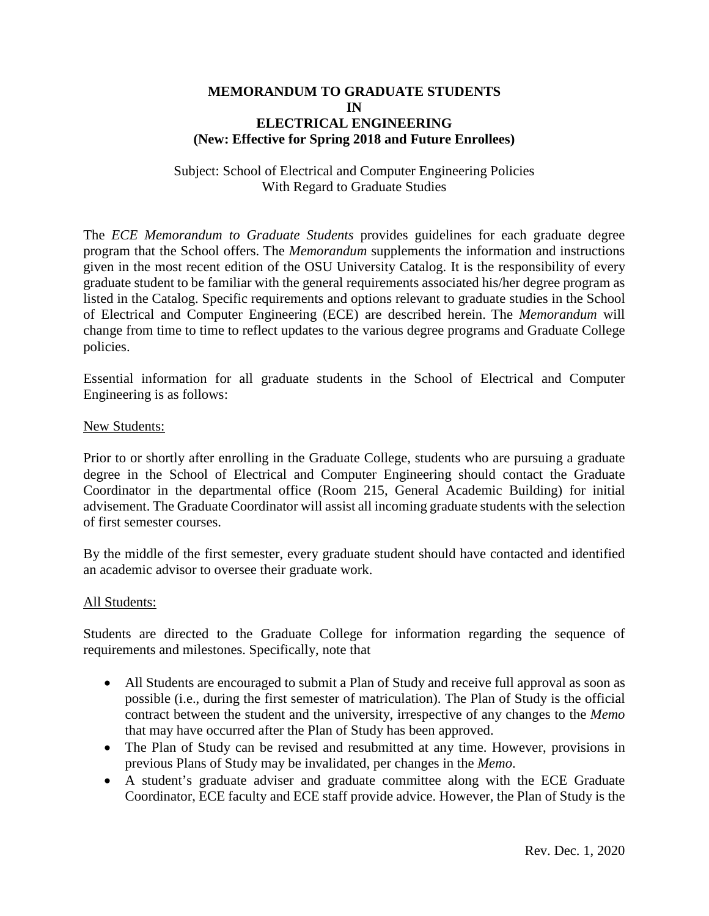## **MEMORANDUM TO GRADUATE STUDENTS IN ELECTRICAL ENGINEERING (New: Effective for Spring 2018 and Future Enrollees)**

## Subject: School of Electrical and Computer Engineering Policies With Regard to Graduate Studies

The *ECE Memorandum to Graduate Students* provides guidelines for each graduate degree program that the School offers. The *Memorandum* supplements the information and instructions given in the most recent edition of the OSU University Catalog. It is the responsibility of every graduate student to be familiar with the general requirements associated his/her degree program as listed in the Catalog. Specific requirements and options relevant to graduate studies in the School of Electrical and Computer Engineering (ECE) are described herein. The *Memorandum* will change from time to time to reflect updates to the various degree programs and Graduate College policies.

Essential information for all graduate students in the School of Electrical and Computer Engineering is as follows:

#### New Students:

Prior to or shortly after enrolling in the Graduate College, students who are pursuing a graduate degree in the School of Electrical and Computer Engineering should contact the Graduate Coordinator in the departmental office (Room 215, General Academic Building) for initial advisement. The Graduate Coordinator will assist all incoming graduate students with the selection of first semester courses.

By the middle of the first semester, every graduate student should have contacted and identified an academic advisor to oversee their graduate work.

#### All Students:

Students are directed to the Graduate College for information regarding the sequence of requirements and milestones. Specifically, note that

- All Students are encouraged to submit a Plan of Study and receive full approval as soon as possible (i.e., during the first semester of matriculation). The Plan of Study is the official contract between the student and the university, irrespective of any changes to the *Memo* that may have occurred after the Plan of Study has been approved.
- The Plan of Study can be revised and resubmitted at any time. However, provisions in previous Plans of Study may be invalidated, per changes in the *Memo*.
- A student's graduate adviser and graduate committee along with the ECE Graduate Coordinator, ECE faculty and ECE staff provide advice. However, the Plan of Study is the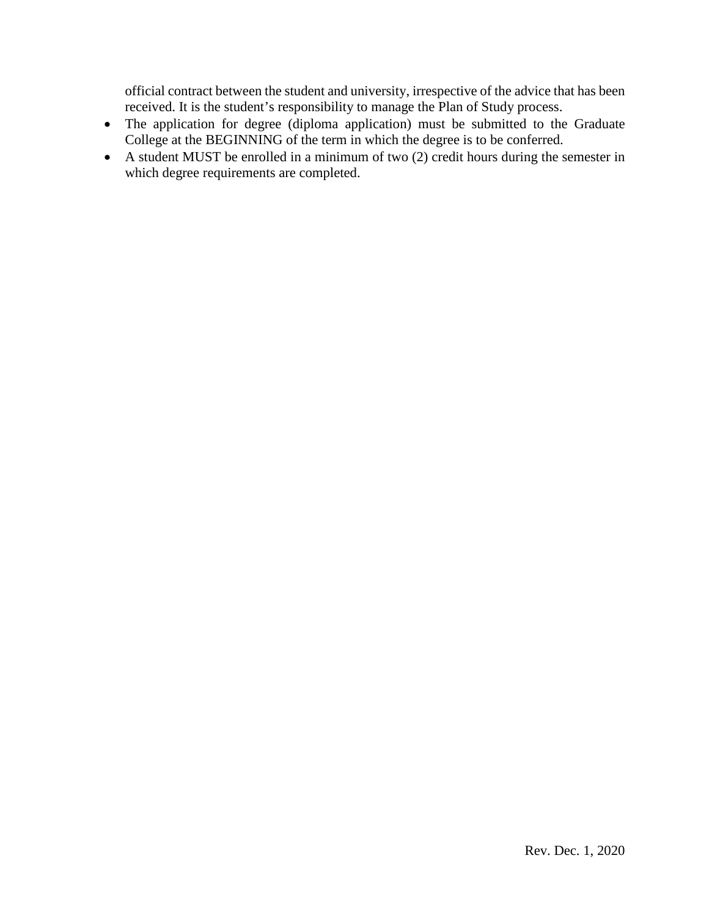official contract between the student and university, irrespective of the advice that has been received. It is the student's responsibility to manage the Plan of Study process.

- The application for degree (diploma application) must be submitted to the Graduate College at the BEGINNING of the term in which the degree is to be conferred.
- A student MUST be enrolled in a minimum of two (2) credit hours during the semester in which degree requirements are completed.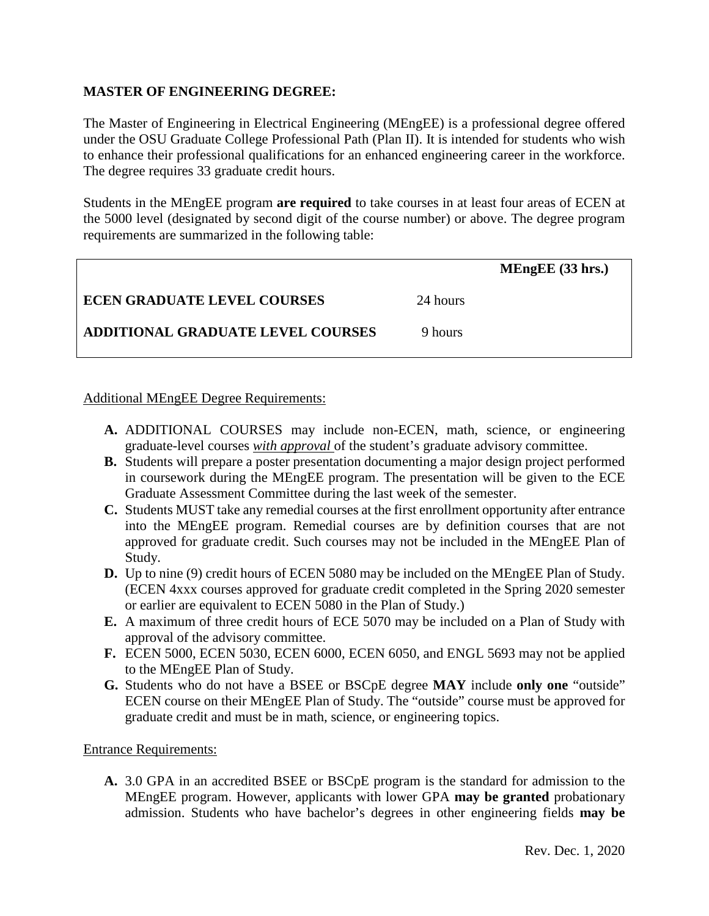# **MASTER OF ENGINEERING DEGREE:**

The Master of Engineering in Electrical Engineering (MEngEE) is a professional degree offered under the OSU Graduate College Professional Path (Plan II). It is intended for students who wish to enhance their professional qualifications for an enhanced engineering career in the workforce. The degree requires 33 graduate credit hours.

Students in the MEngEE program **are required** to take courses in at least four areas of ECEN at the 5000 level (designated by second digit of the course number) or above. The degree program requirements are summarized in the following table:

|                                    |          | $MEngEE$ (33 hrs.) |
|------------------------------------|----------|--------------------|
| <b>ECEN GRADUATE LEVEL COURSES</b> | 24 hours |                    |
| ADDITIONAL GRADUATE LEVEL COURSES  | 9 hours  |                    |

## Additional MEngEE Degree Requirements:

- **A.** ADDITIONAL COURSES may include non-ECEN, math, science, or engineering graduate-level courses *with approval* of the student's graduate advisory committee.
- **B.** Students will prepare a poster presentation documenting a major design project performed in coursework during the MEngEE program. The presentation will be given to the ECE Graduate Assessment Committee during the last week of the semester.
- **C.** Students MUST take any remedial courses at the first enrollment opportunity after entrance into the MEngEE program. Remedial courses are by definition courses that are not approved for graduate credit. Such courses may not be included in the MEngEE Plan of Study.
- **D.** Up to nine (9) credit hours of ECEN 5080 may be included on the MEngEE Plan of Study. (ECEN 4xxx courses approved for graduate credit completed in the Spring 2020 semester or earlier are equivalent to ECEN 5080 in the Plan of Study.)
- **E.** A maximum of three credit hours of ECE 5070 may be included on a Plan of Study with approval of the advisory committee.
- **F.** ECEN 5000, ECEN 5030, ECEN 6000, ECEN 6050, and ENGL 5693 may not be applied to the MEngEE Plan of Study.
- **G.** Students who do not have a BSEE or BSCpE degree **MAY** include **only one** "outside" ECEN course on their MEngEE Plan of Study. The "outside" course must be approved for graduate credit and must be in math, science, or engineering topics.

## Entrance Requirements:

**A.** 3.0 GPA in an accredited BSEE or BSCpE program is the standard for admission to the MEngEE program. However, applicants with lower GPA **may be granted** probationary admission. Students who have bachelor's degrees in other engineering fields **may be**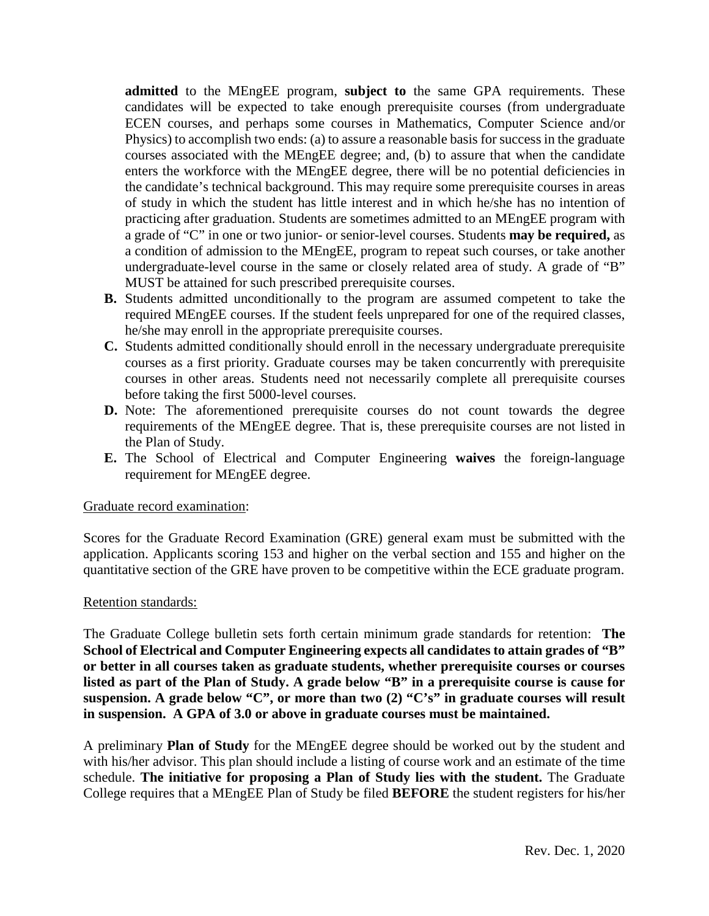**admitted** to the MEngEE program, **subject to** the same GPA requirements. These candidates will be expected to take enough prerequisite courses (from undergraduate ECEN courses, and perhaps some courses in Mathematics, Computer Science and/or Physics) to accomplish two ends: (a) to assure a reasonable basis for success in the graduate courses associated with the MEngEE degree; and, (b) to assure that when the candidate enters the workforce with the MEngEE degree, there will be no potential deficiencies in the candidate's technical background. This may require some prerequisite courses in areas of study in which the student has little interest and in which he/she has no intention of practicing after graduation. Students are sometimes admitted to an MEngEE program with a grade of "C" in one or two junior- or senior-level courses. Students **may be required,** as a condition of admission to the MEngEE, program to repeat such courses, or take another undergraduate-level course in the same or closely related area of study. A grade of "B" MUST be attained for such prescribed prerequisite courses.

- **B.** Students admitted unconditionally to the program are assumed competent to take the required MEngEE courses. If the student feels unprepared for one of the required classes, he/she may enroll in the appropriate prerequisite courses.
- **C.** Students admitted conditionally should enroll in the necessary undergraduate prerequisite courses as a first priority. Graduate courses may be taken concurrently with prerequisite courses in other areas. Students need not necessarily complete all prerequisite courses before taking the first 5000-level courses.
- **D.** Note: The aforementioned prerequisite courses do not count towards the degree requirements of the MEngEE degree. That is, these prerequisite courses are not listed in the Plan of Study.
- **E.** The School of Electrical and Computer Engineering **waives** the foreign-language requirement for MEngEE degree.

## Graduate record examination:

Scores for the Graduate Record Examination (GRE) general exam must be submitted with the application. Applicants scoring 153 and higher on the verbal section and 155 and higher on the quantitative section of the GRE have proven to be competitive within the ECE graduate program.

## Retention standards:

The Graduate College bulletin sets forth certain minimum grade standards for retention: **The School of Electrical and Computer Engineering expects all candidates to attain grades of "B" or better in all courses taken as graduate students, whether prerequisite courses or courses listed as part of the Plan of Study. A grade below "B" in a prerequisite course is cause for suspension. A grade below "C", or more than two (2) "C's" in graduate courses will result in suspension. A GPA of 3.0 or above in graduate courses must be maintained.**

A preliminary **Plan of Study** for the MEngEE degree should be worked out by the student and with his/her advisor. This plan should include a listing of course work and an estimate of the time schedule. **The initiative for proposing a Plan of Study lies with the student.** The Graduate College requires that a MEngEE Plan of Study be filed **BEFORE** the student registers for his/her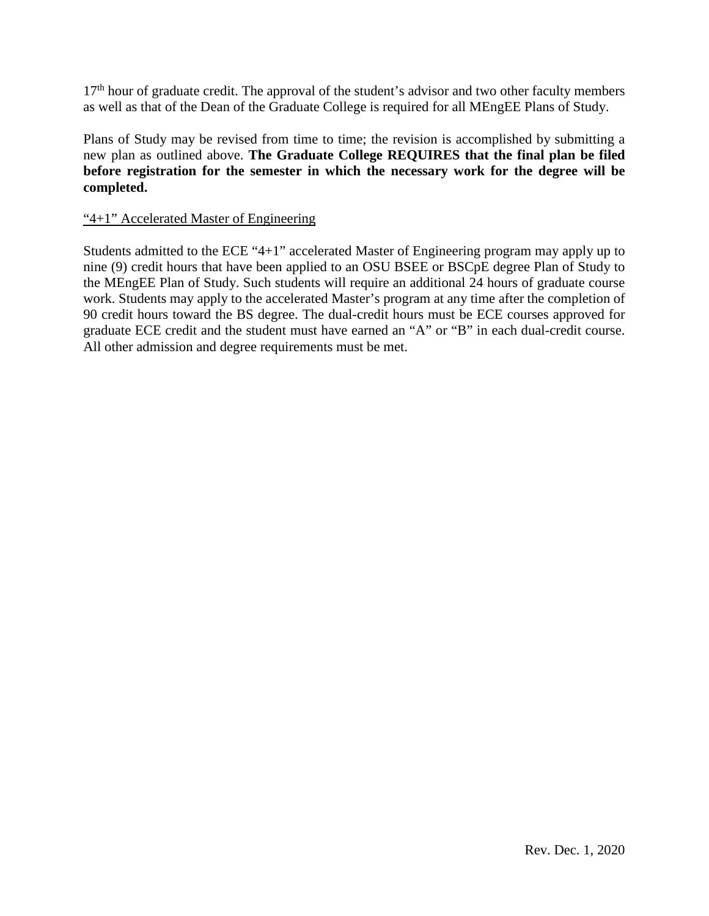$17<sup>th</sup>$  hour of graduate credit. The approval of the student's advisor and two other faculty members as well as that of the Dean of the Graduate College is required for all MEngEE Plans of Study.

Plans of Study may be revised from time to time; the revision is accomplished by submitting a new plan as outlined above. **The Graduate College REQUIRES that the final plan be filed before registration for the semester in which the necessary work for the degree will be completed.**

# "4+1" Accelerated Master of Engineering

Students admitted to the ECE "4+1" accelerated Master of Engineering program may apply up to nine (9) credit hours that have been applied to an OSU BSEE or BSCpE degree Plan of Study to the MEngEE Plan of Study. Such students will require an additional 24 hours of graduate course work. Students may apply to the accelerated Master's program at any time after the completion of 90 credit hours toward the BS degree. The dual-credit hours must be ECE courses approved for graduate ECE credit and the student must have earned an "A" or "B" in each dual-credit course. All other admission and degree requirements must be met.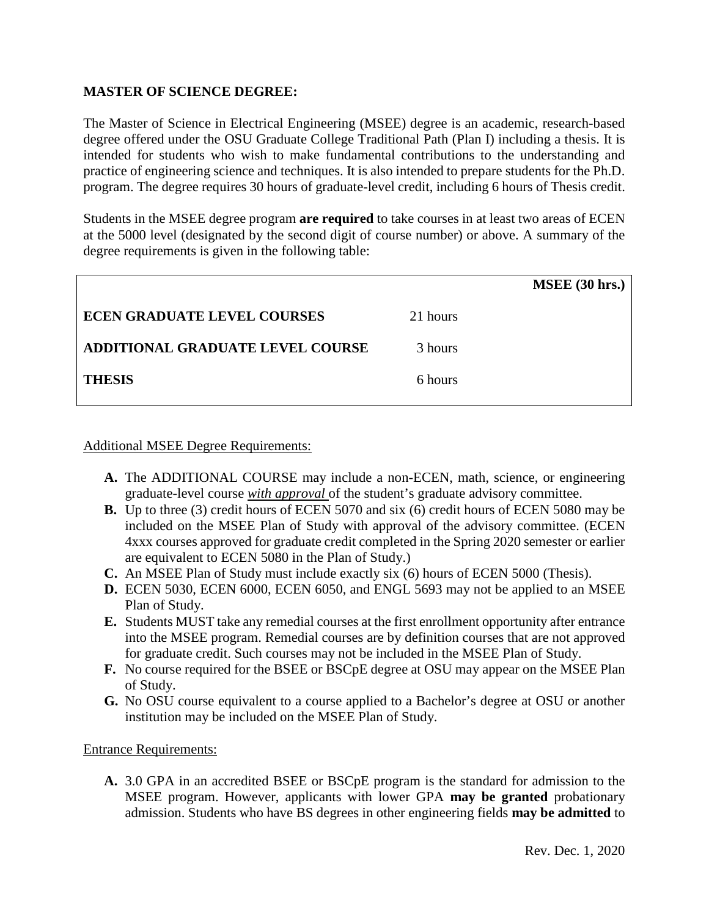## **MASTER OF SCIENCE DEGREE:**

The Master of Science in Electrical Engineering (MSEE) degree is an academic, research-based degree offered under the OSU Graduate College Traditional Path (Plan I) including a thesis. It is intended for students who wish to make fundamental contributions to the understanding and practice of engineering science and techniques. It is also intended to prepare students for the Ph.D. program. The degree requires 30 hours of graduate-level credit, including 6 hours of Thesis credit.

Students in the MSEE degree program **are required** to take courses in at least two areas of ECEN at the 5000 level (designated by the second digit of course number) or above. A summary of the degree requirements is given in the following table:

|                                    |          | <b>MSEE</b> (30 hrs.) |
|------------------------------------|----------|-----------------------|
| <b>ECEN GRADUATE LEVEL COURSES</b> | 21 hours |                       |
| ADDITIONAL GRADUATE LEVEL COURSE   | 3 hours  |                       |
| <b>THESIS</b>                      | 6 hours  |                       |
|                                    |          |                       |

#### Additional MSEE Degree Requirements:

- **A.** The ADDITIONAL COURSE may include a non-ECEN, math, science, or engineering graduate-level course *with approval* of the student's graduate advisory committee.
- **B.** Up to three (3) credit hours of ECEN 5070 and six (6) credit hours of ECEN 5080 may be included on the MSEE Plan of Study with approval of the advisory committee. (ECEN 4xxx courses approved for graduate credit completed in the Spring 2020 semester or earlier are equivalent to ECEN 5080 in the Plan of Study.)
- **C.** An MSEE Plan of Study must include exactly six (6) hours of ECEN 5000 (Thesis).
- **D.** ECEN 5030, ECEN 6000, ECEN 6050, and ENGL 5693 may not be applied to an MSEE Plan of Study.
- **E.** Students MUST take any remedial courses at the first enrollment opportunity after entrance into the MSEE program. Remedial courses are by definition courses that are not approved for graduate credit. Such courses may not be included in the MSEE Plan of Study.
- **F.** No course required for the BSEE or BSCpE degree at OSU may appear on the MSEE Plan of Study.
- **G.** No OSU course equivalent to a course applied to a Bachelor's degree at OSU or another institution may be included on the MSEE Plan of Study.

#### Entrance Requirements:

**A.** 3.0 GPA in an accredited BSEE or BSCpE program is the standard for admission to the MSEE program. However, applicants with lower GPA **may be granted** probationary admission. Students who have BS degrees in other engineering fields **may be admitted** to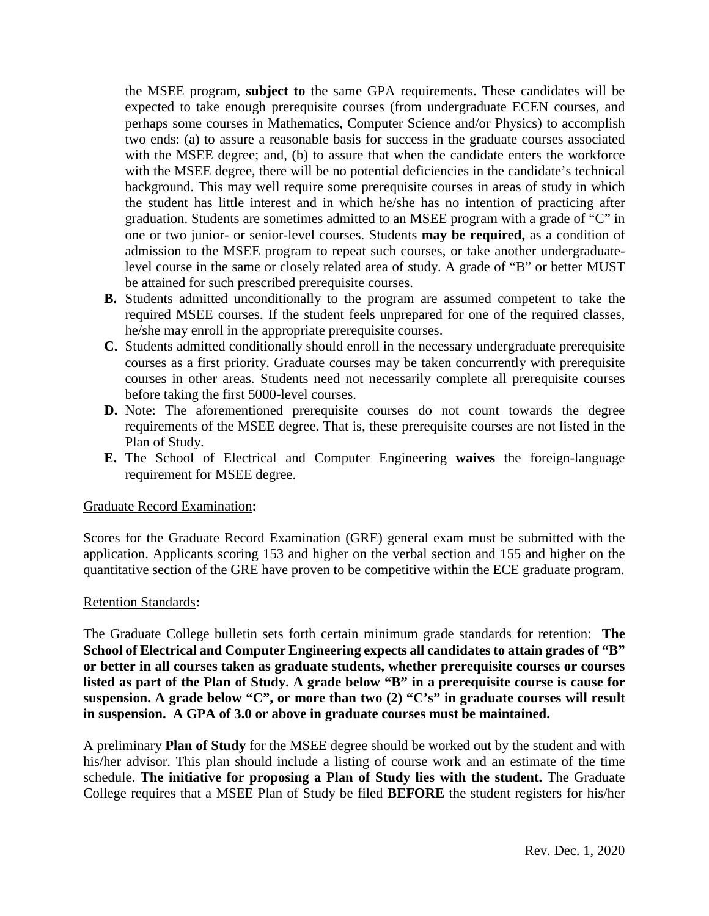the MSEE program, **subject to** the same GPA requirements. These candidates will be expected to take enough prerequisite courses (from undergraduate ECEN courses, and perhaps some courses in Mathematics, Computer Science and/or Physics) to accomplish two ends: (a) to assure a reasonable basis for success in the graduate courses associated with the MSEE degree; and, (b) to assure that when the candidate enters the workforce with the MSEE degree, there will be no potential deficiencies in the candidate's technical background. This may well require some prerequisite courses in areas of study in which the student has little interest and in which he/she has no intention of practicing after graduation. Students are sometimes admitted to an MSEE program with a grade of "C" in one or two junior- or senior-level courses. Students **may be required,** as a condition of admission to the MSEE program to repeat such courses, or take another undergraduatelevel course in the same or closely related area of study. A grade of "B" or better MUST be attained for such prescribed prerequisite courses.

- **B.** Students admitted unconditionally to the program are assumed competent to take the required MSEE courses. If the student feels unprepared for one of the required classes, he/she may enroll in the appropriate prerequisite courses.
- **C.** Students admitted conditionally should enroll in the necessary undergraduate prerequisite courses as a first priority. Graduate courses may be taken concurrently with prerequisite courses in other areas. Students need not necessarily complete all prerequisite courses before taking the first 5000-level courses.
- **D.** Note: The aforementioned prerequisite courses do not count towards the degree requirements of the MSEE degree. That is, these prerequisite courses are not listed in the Plan of Study.
- **E.** The School of Electrical and Computer Engineering **waives** the foreign-language requirement for MSEE degree.

## Graduate Record Examination**:**

Scores for the Graduate Record Examination (GRE) general exam must be submitted with the application. Applicants scoring 153 and higher on the verbal section and 155 and higher on the quantitative section of the GRE have proven to be competitive within the ECE graduate program.

## Retention Standards**:**

The Graduate College bulletin sets forth certain minimum grade standards for retention: **The School of Electrical and Computer Engineering expects all candidates to attain grades of "B" or better in all courses taken as graduate students, whether prerequisite courses or courses listed as part of the Plan of Study. A grade below "B" in a prerequisite course is cause for suspension. A grade below "C", or more than two (2) "C's" in graduate courses will result in suspension. A GPA of 3.0 or above in graduate courses must be maintained.**

A preliminary **Plan of Study** for the MSEE degree should be worked out by the student and with his/her advisor. This plan should include a listing of course work and an estimate of the time schedule. **The initiative for proposing a Plan of Study lies with the student.** The Graduate College requires that a MSEE Plan of Study be filed **BEFORE** the student registers for his/her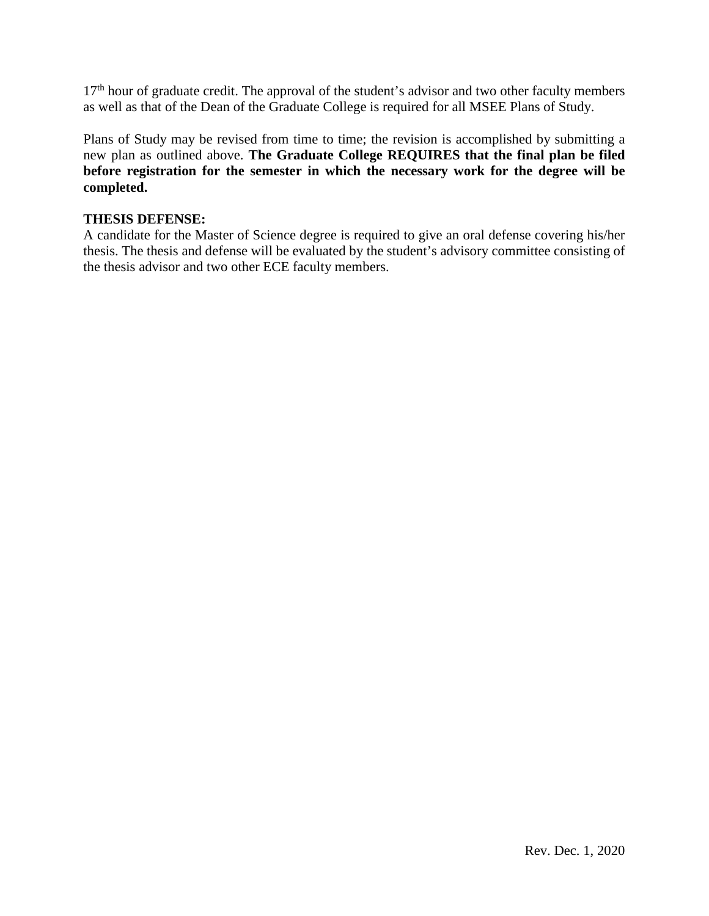17<sup>th</sup> hour of graduate credit. The approval of the student's advisor and two other faculty members as well as that of the Dean of the Graduate College is required for all MSEE Plans of Study.

Plans of Study may be revised from time to time; the revision is accomplished by submitting a new plan as outlined above. **The Graduate College REQUIRES that the final plan be filed before registration for the semester in which the necessary work for the degree will be completed.** 

# **THESIS DEFENSE:**

A candidate for the Master of Science degree is required to give an oral defense covering his/her thesis. The thesis and defense will be evaluated by the student's advisory committee consisting of the thesis advisor and two other ECE faculty members.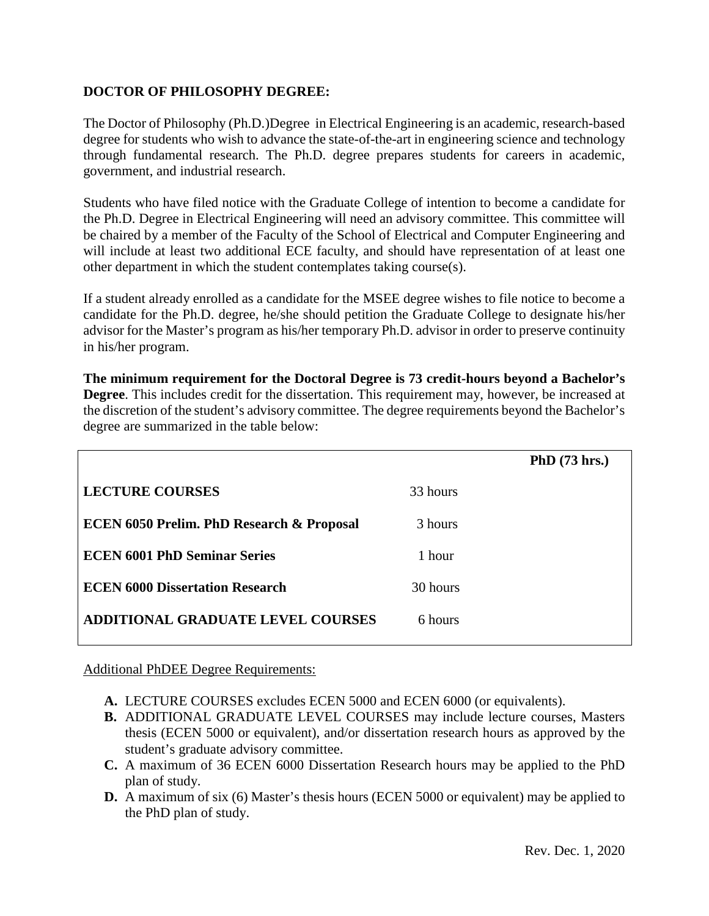# **DOCTOR OF PHILOSOPHY DEGREE:**

The Doctor of Philosophy (Ph.D.)Degree in Electrical Engineering is an academic, research-based degree for students who wish to advance the state-of-the-art in engineering science and technology through fundamental research. The Ph.D. degree prepares students for careers in academic, government, and industrial research.

Students who have filed notice with the Graduate College of intention to become a candidate for the Ph.D. Degree in Electrical Engineering will need an advisory committee. This committee will be chaired by a member of the Faculty of the School of Electrical and Computer Engineering and will include at least two additional ECE faculty, and should have representation of at least one other department in which the student contemplates taking course(s).

If a student already enrolled as a candidate for the MSEE degree wishes to file notice to become a candidate for the Ph.D. degree, he/she should petition the Graduate College to designate his/her advisor for the Master's program as his/her temporary Ph.D. advisor in order to preserve continuity in his/her program.

**The minimum requirement for the Doctoral Degree is 73 credit-hours beyond a Bachelor's Degree**. This includes credit for the dissertation. This requirement may, however, be increased at the discretion of the student's advisory committee. The degree requirements beyond the Bachelor's degree are summarized in the table below:

|                                                      |          | PhD (73 hrs.) |
|------------------------------------------------------|----------|---------------|
| <b>LECTURE COURSES</b>                               | 33 hours |               |
| <b>ECEN 6050 Prelim. PhD Research &amp; Proposal</b> | 3 hours  |               |
| <b>ECEN 6001 PhD Seminar Series</b>                  | 1 hour   |               |
| <b>ECEN 6000 Dissertation Research</b>               | 30 hours |               |
| ADDITIONAL GRADUATE LEVEL COURSES                    | 6 hours  |               |
|                                                      |          |               |

Additional PhDEE Degree Requirements:

- **A.** LECTURE COURSES excludes ECEN 5000 and ECEN 6000 (or equivalents).
- **B.** ADDITIONAL GRADUATE LEVEL COURSES may include lecture courses, Masters thesis (ECEN 5000 or equivalent), and/or dissertation research hours as approved by the student's graduate advisory committee.
- **C.** A maximum of 36 ECEN 6000 Dissertation Research hours may be applied to the PhD plan of study.
- **D.** A maximum of six (6) Master's thesis hours (ECEN 5000 or equivalent) may be applied to the PhD plan of study.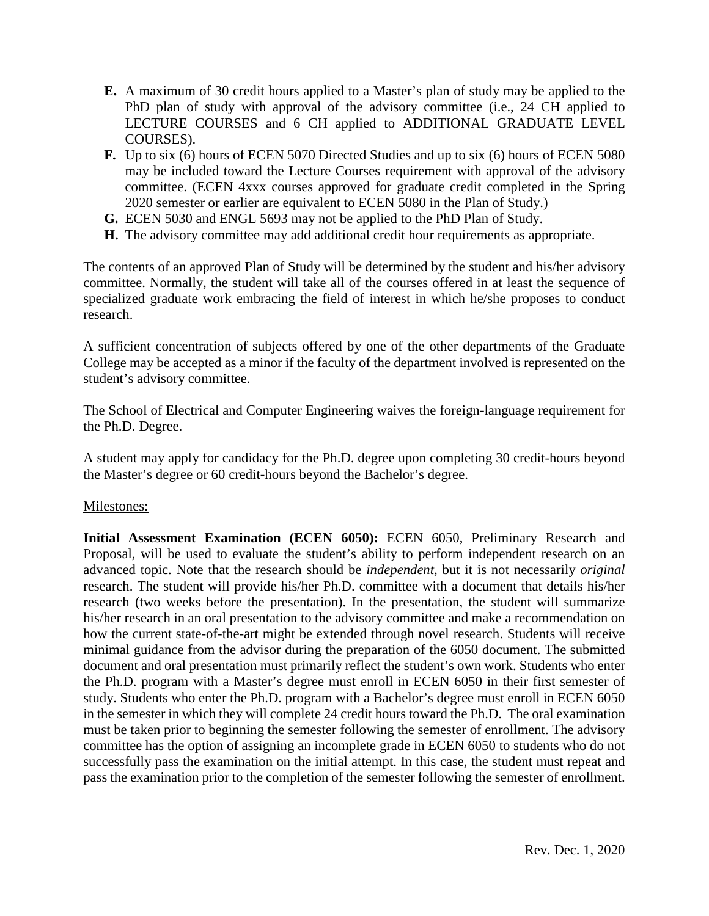- **E.** A maximum of 30 credit hours applied to a Master's plan of study may be applied to the PhD plan of study with approval of the advisory committee (i.e., 24 CH applied to LECTURE COURSES and 6 CH applied to ADDITIONAL GRADUATE LEVEL COURSES).
- **F.** Up to six (6) hours of ECEN 5070 Directed Studies and up to six (6) hours of ECEN 5080 may be included toward the Lecture Courses requirement with approval of the advisory committee. (ECEN 4xxx courses approved for graduate credit completed in the Spring 2020 semester or earlier are equivalent to ECEN 5080 in the Plan of Study.)
- **G.** ECEN 5030 and ENGL 5693 may not be applied to the PhD Plan of Study.
- **H.** The advisory committee may add additional credit hour requirements as appropriate.

The contents of an approved Plan of Study will be determined by the student and his/her advisory committee. Normally, the student will take all of the courses offered in at least the sequence of specialized graduate work embracing the field of interest in which he/she proposes to conduct research.

A sufficient concentration of subjects offered by one of the other departments of the Graduate College may be accepted as a minor if the faculty of the department involved is represented on the student's advisory committee.

The School of Electrical and Computer Engineering waives the foreign-language requirement for the Ph.D. Degree.

A student may apply for candidacy for the Ph.D. degree upon completing 30 credit-hours beyond the Master's degree or 60 credit-hours beyond the Bachelor's degree.

## Milestones:

**Initial Assessment Examination (ECEN 6050):** ECEN 6050, Preliminary Research and Proposal, will be used to evaluate the student's ability to perform independent research on an advanced topic. Note that the research should be *independent*, but it is not necessarily *original* research. The student will provide his/her Ph.D. committee with a document that details his/her research (two weeks before the presentation). In the presentation, the student will summarize his/her research in an oral presentation to the advisory committee and make a recommendation on how the current state-of-the-art might be extended through novel research. Students will receive minimal guidance from the advisor during the preparation of the 6050 document. The submitted document and oral presentation must primarily reflect the student's own work. Students who enter the Ph.D. program with a Master's degree must enroll in ECEN 6050 in their first semester of study. Students who enter the Ph.D. program with a Bachelor's degree must enroll in ECEN 6050 in the semester in which they will complete 24 credit hours toward the Ph.D. The oral examination must be taken prior to beginning the semester following the semester of enrollment. The advisory committee has the option of assigning an incomplete grade in ECEN 6050 to students who do not successfully pass the examination on the initial attempt. In this case, the student must repeat and pass the examination prior to the completion of the semester following the semester of enrollment.